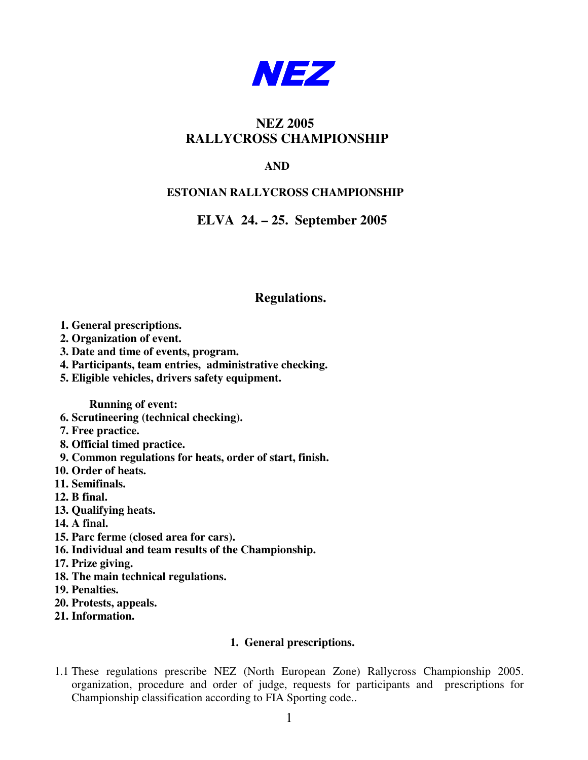

# **NEZ 2005 RALLYCROSS CHAMPIONSHIP**

# **AND**

# **ESTONIAN RALLYCROSS CHAMPIONSHIP**

# **ELVA 24. – 25. September 2005**

# **Regulations.**

- **1. General prescriptions.**
- **2. Organization of event.**
- **3. Date and time of events, program.**
- **4. Participants, team entries, administrative checking.**
- **5. Eligible vehicles, drivers safety equipment.**

**Running of event:**

- **6. Scrutineering (technical checking).**
- **7. Free practice.**
- **8. Official timed practice.**
- **9. Common regulations for heats, order of start, finish.**
- **10. Order of heats.**
- **11. Semifinals.**
- **12. B final.**
- **13. Qualifying heats.**
- **14. A final.**
- **15. Parc ferme (closed area for cars).**
- **16. Individual and team results of the Championship.**
- **17. Prize giving.**
- **18. The main technical regulations.**
- **19. Penalties.**
- **20. Protests, appeals.**
- **21. Information.**

# **1. General prescriptions.**

1.1 These regulations prescribe NEZ (North European Zone) Rallycross Championship 2005. organization, procedure and order of judge, requests for participants and prescriptions for Championship classification according to FIA Sporting code..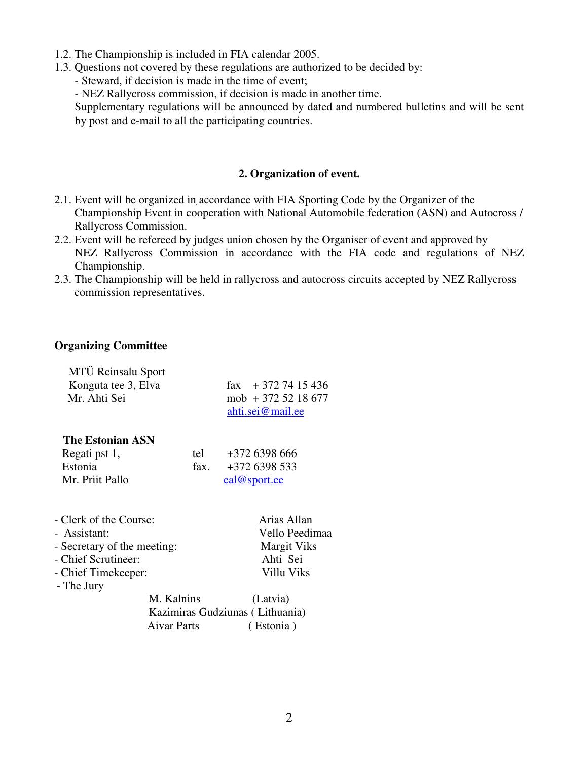- 1.2. The Championship is included in FIA calendar 2005.
- 1.3. Questions not covered by these regulations are authorized to be decided by:

- Steward, if decision is made in the time of event;

- NEZ Rallycross commission, if decision is made in another time.

Supplementary regulations will be announced by dated and numbered bulletins and will be sent by post and e-mail to all the participating countries.

## **2. Organization of event.**

- 2.1. Event will be organized in accordance with FIA Sporting Code by the Organizer of the Championship Event in cooperation with National Automobile federation (ASN) and Autocross / Rallycross Commission.
- 2.2. Event will be refereed by judges union chosen by the Organiser of event and approved by NEZ Rallycross Commission in accordance with the FIA code and regulations of NEZ Championship.
- 2.3. The Championship will be held in rallycross and autocross circuits accepted by NEZ Rallycross commission representatives.

## **Organizing Committee**

| MTÜ Reinsalu Sport<br>Konguta tee 3, Elva<br>Mr. Ahti Sei |                    | $\text{fax} \quad +372\,74\,15\,436$<br>$mob + 3725218677$<br>ahti.sei@mail.ee |
|-----------------------------------------------------------|--------------------|--------------------------------------------------------------------------------|
| The Estonian ASN                                          |                    |                                                                                |
| Regati pst 1,                                             | tel                | $+372$ 6398 666                                                                |
| Estonia                                                   | fax.               | +372 6398 533                                                                  |
| Mr. Priit Pallo                                           |                    | eal@sport.ee                                                                   |
| - Clerk of the Course:                                    |                    | Arias Allan                                                                    |
| - Assistant:                                              |                    | Vello Peedimaa                                                                 |
| - Secretary of the meeting:                               | <b>Margit Viks</b> |                                                                                |
| - Chief Scrutineer:                                       |                    | Ahti Sei                                                                       |
| - Chief Timekeeper:<br>- The Jury                         |                    | Villu Viks                                                                     |
| M. Kalnins                                                |                    | (Latvia)                                                                       |
|                                                           |                    | Kazimiras Gudziunas (Lithuania)                                                |
| <b>Aivar Parts</b>                                        |                    | (Estonia)                                                                      |
|                                                           |                    |                                                                                |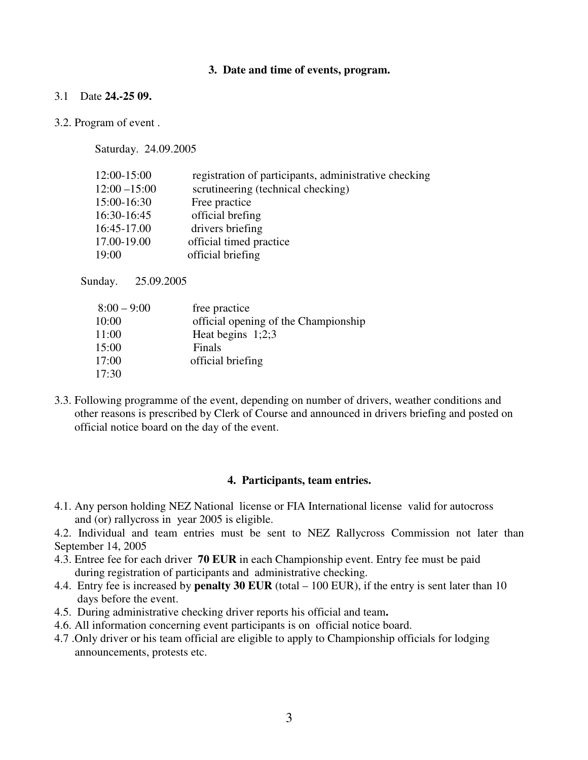#### **3. Date and time of events, program.**

## 3.1 Date **24.-25 09.**

#### 3.2. Program of event .

Saturday. 24.09.2005

| 12:00-15:00     | registration of participants, administrative checking |
|-----------------|-------------------------------------------------------|
| $12:00 - 15:00$ | scrutineering (technical checking)                    |
| 15:00-16:30     | Free practice                                         |
| 16:30-16:45     | official brefing                                      |
| 16:45-17.00     | drivers briefing                                      |
| 17.00-19.00     | official timed practice                               |
| 19:00           | official briefing                                     |

Sunday. 25.09.2005

| $8:00 - 9:00$ | free practice                        |
|---------------|--------------------------------------|
| 10:00         | official opening of the Championship |
| 11:00         | Heat begins $1;2;3$                  |
| 15:00         | Finals                               |
| 17:00         | official briefing                    |
| 17:30         |                                      |

3.3. Following programme of the event, depending on number of drivers, weather conditions and other reasons is prescribed by Clerk of Course and announced in drivers briefing and posted on official notice board on the day of the event.

#### **4. Participants, team entries.**

4.1. Any person holding NEZ National license or FIA International license valid for autocross and (or) rallycross in year 2005 is eligible.

4.2. Individual and team entries must be sent to NEZ Rallycross Commission not later than September 14, 2005

- 4.3. Entree fee for each driver **70 EUR** in each Championship event. Entry fee must be paid during registration of participants and administrative checking.
- 4.4. Entry fee is increased by **penalty 30 EUR** (total 100 EUR), if the entry is sent later than 10 days before the event.
- 4.5. During administrative checking driver reports his official and team**.**
- 4.6. All information concerning event participants is on official notice board.
- 4.7 .Only driver or his team official are eligible to apply to Championship officials for lodging announcements, protests etc.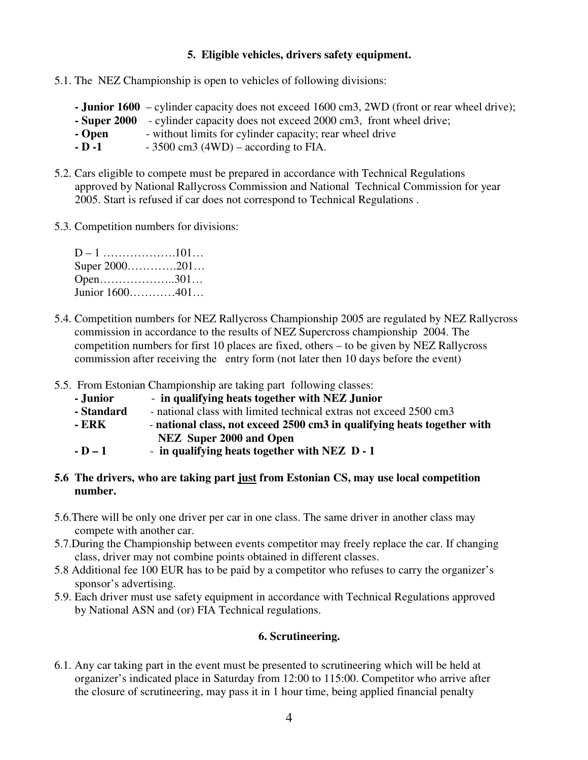# **5. Eligible vehicles, drivers safety equipment.**

- 5.1. The NEZ Championship is open to vehicles of following divisions:
	- **- Junior 1600** cylinder capacity does not exceed 1600 cm3, 2WD (front or rear wheel drive);
	- **- Super 2000** cylinder capacity does not exceed 2000 cm3, front wheel drive;
	- **Open** without limits for cylinder capacity; rear wheel drive<br> **- D** -**1** 3500 cm3 (4WD) according to FIA.
	- $-3500 \text{ cm}$ <sup>3</sup> (4WD) according to FIA.
- 5.2. Cars eligible to compete must be prepared in accordance with Technical Regulations approved by National Rallycross Commission and National Technical Commission for year 2005. Start is refused if car does not correspond to Technical Regulations .
- 5.3. Competition numbers for divisions:

| Super 2000201  |  |
|----------------|--|
| Open301        |  |
| Junior 1600401 |  |

- 5.4. Competition numbers for NEZ Rallycross Championship 2005 are regulated by NEZ Rallycross commission in accordance to the results of NEZ Supercross championship 2004. The competition numbers for first 10 places are fixed, others – to be given by NEZ Rallycross commission after receiving the entry form (not later then 10 days before the event)
- 5.5. From Estonian Championship are taking part following classes:
	- **- Junior in qualifying heats together with NEZ Junior**
	- **- Standard** national class with limited technical extras not exceed 2500 cm3
	- **- ERK national class, not exceed 2500 cm3 in qualifying heats together with NEZ Super 2000 and Open**
	- **- D – 1 in qualifying heats together with NEZ D - 1**

# **5.6 The drivers, who are taking part just from Estonian CS, may use local competition number.**

- 5.6.There will be only one driver per car in one class. The same driver in another class may compete with another car.
- 5.7.During the Championship between events competitor may freely replace the car. If changing class, driver may not combine points obtained in different classes.
- 5.8 Additional fee 100 EUR has to be paid by a competitor who refuses to carry the organizer's sponsor's advertising.
- 5.9. Each driver must use safety equipment in accordance with Technical Regulations approved by National ASN and (or) FIA Technical regulations.

# **6. Scrutineering.**

6.1. Any car taking part in the event must be presented to scrutineering which will be held at organizer's indicated place in Saturday from 12:00 to 115:00. Competitor who arrive after the closure of scrutineering, may pass it in 1 hour time, being applied financial penalty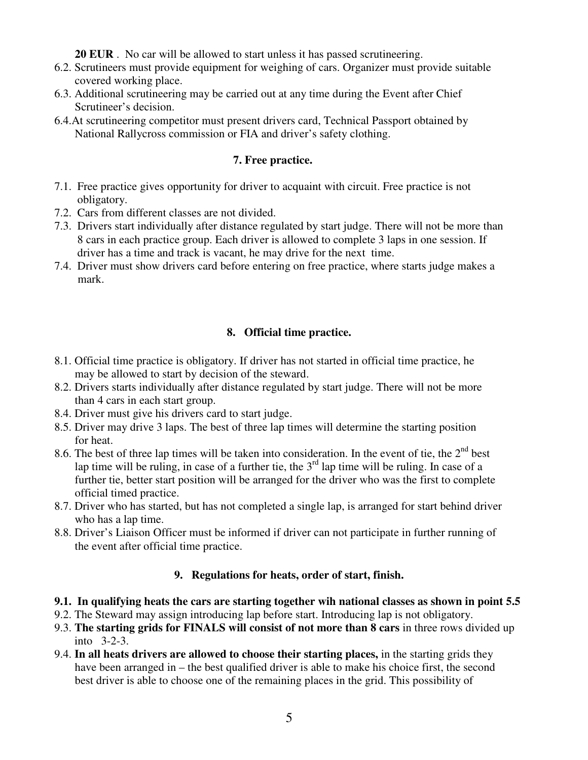**20 EUR** . No car will be allowed to start unless it has passed scrutineering.

- 6.2. Scrutineers must provide equipment for weighing of cars. Organizer must provide suitable covered working place.
- 6.3. Additional scrutineering may be carried out at any time during the Event after Chief Scrutineer's decision.
- 6.4.At scrutineering competitor must present drivers card, Technical Passport obtained by National Rallycross commission or FIA and driver's safety clothing.

# **7. Free practice.**

- 7.1. Free practice gives opportunity for driver to acquaint with circuit. Free practice is not obligatory.
- 7.2. Cars from different classes are not divided.
- 7.3. Drivers start individually after distance regulated by start judge. There will not be more than 8 cars in each practice group. Each driver is allowed to complete 3 laps in one session. If driver has a time and track is vacant, he may drive for the next time.
- 7.4. Driver must show drivers card before entering on free practice, where starts judge makes a mark.

# **8. Official time practice.**

- 8.1. Official time practice is obligatory. If driver has not started in official time practice, he may be allowed to start by decision of the steward.
- 8.2. Drivers starts individually after distance regulated by start judge. There will not be more than 4 cars in each start group.
- 8.4. Driver must give his drivers card to start judge.
- 8.5. Driver may drive 3 laps. The best of three lap times will determine the starting position for heat.
- 8.6. The best of three lap times will be taken into consideration. In the event of tie, the  $2<sup>nd</sup>$  best lap time will be ruling, in case of a further tie, the  $3<sup>rd</sup>$  lap time will be ruling. In case of a further tie, better start position will be arranged for the driver who was the first to complete official timed practice.
- 8.7. Driver who has started, but has not completed a single lap, is arranged for start behind driver who has a lap time.
- 8.8. Driver's Liaison Officer must be informed if driver can not participate in further running of the event after official time practice.

# **9. Regulations for heats, order of start, finish.**

- **9.1. In qualifying heats the cars are starting together wih national classes as shown in point 5.5**
- 9.2. The Steward may assign introducing lap before start. Introducing lap is not obligatory.
- 9.3. **The starting grids for FINALS will consist of not more than 8 cars** in three rows divided up into 3-2-3.
- 9.4. **In all heats drivers are allowed to choose their starting places,** in the starting grids they have been arranged in – the best qualified driver is able to make his choice first, the second best driver is able to choose one of the remaining places in the grid. This possibility of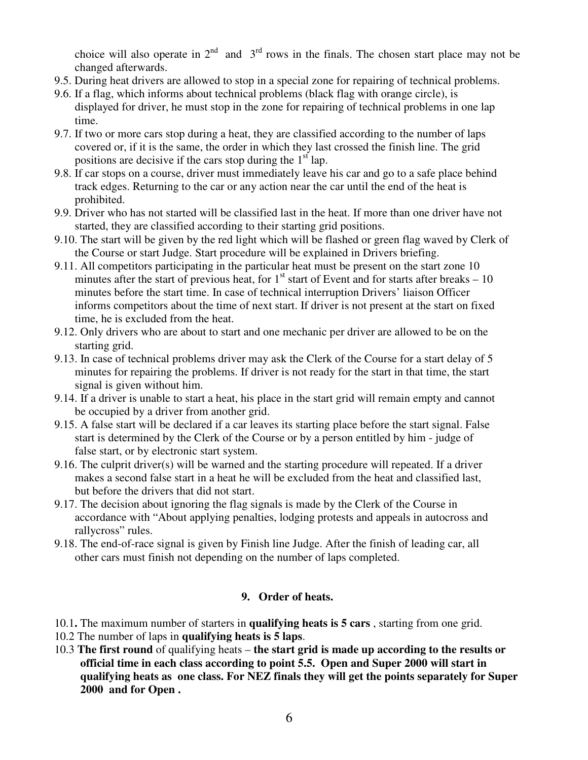choice will also operate in  $2<sup>nd</sup>$  and  $3<sup>rd</sup>$  rows in the finals. The chosen start place may not be changed afterwards.

- 9.5. During heat drivers are allowed to stop in a special zone for repairing of technical problems.
- 9.6. If a flag, which informs about technical problems (black flag with orange circle), is displayed for driver, he must stop in the zone for repairing of technical problems in one lap time.
- 9.7. If two or more cars stop during a heat, they are classified according to the number of laps covered or, if it is the same, the order in which they last crossed the finish line. The grid positions are decisive if the cars stop during the  $1<sup>st</sup>$  lap.
- 9.8. If car stops on a course, driver must immediately leave his car and go to a safe place behind track edges. Returning to the car or any action near the car until the end of the heat is prohibited.
- 9.9. Driver who has not started will be classified last in the heat. If more than one driver have not started, they are classified according to their starting grid positions.
- 9.10. The start will be given by the red light which will be flashed or green flag waved by Clerk of the Course or start Judge. Start procedure will be explained in Drivers briefing.
- 9.11. All competitors participating in the particular heat must be present on the start zone 10 minutes after the start of previous heat, for  $1<sup>st</sup>$  start of Event and for starts after breaks – 10 minutes before the start time. In case of technical interruption Drivers' liaison Officer informs competitors about the time of next start. If driver is not present at the start on fixed time, he is excluded from the heat.
- 9.12. Only drivers who are about to start and one mechanic per driver are allowed to be on the starting grid.
- 9.13. In case of technical problems driver may ask the Clerk of the Course for a start delay of 5 minutes for repairing the problems. If driver is not ready for the start in that time, the start signal is given without him.
- 9.14. If a driver is unable to start a heat, his place in the start grid will remain empty and cannot be occupied by a driver from another grid.
- 9.15. A false start will be declared if a car leaves its starting place before the start signal. False start is determined by the Clerk of the Course or by a person entitled by him - judge of false start, or by electronic start system.
- 9.16. The culprit driver(s) will be warned and the starting procedure will repeated. If a driver makes a second false start in a heat he will be excluded from the heat and classified last, but before the drivers that did not start.
- 9.17. The decision about ignoring the flag signals is made by the Clerk of the Course in accordance with "About applying penalties, lodging protests and appeals in autocross and rallycross" rules.
- 9.18. The end-of-race signal is given by Finish line Judge. After the finish of leading car, all other cars must finish not depending on the number of laps completed.

# **9. Order of heats.**

- 10.1**.** The maximum number of starters in **qualifying heats is 5 cars** , starting from one grid.
- 10.2 The number of laps in **qualifying heats is 5 laps**.
- 10.3 **The first round** of qualifying heats **the start grid is made up according to the results or official time in each class according to point 5.5. Open and Super 2000 will start in qualifying heats as one class. For NEZ finals they will get the points separately for Super 2000 and for Open .**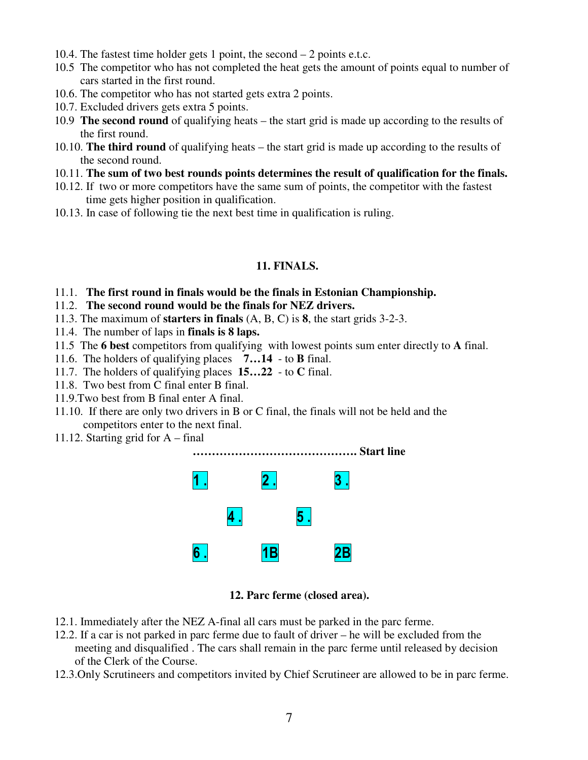- 10.4. The fastest time holder gets 1 point, the second 2 points e.t.c.
- 10.5 The competitor who has not completed the heat gets the amount of points equal to number of cars started in the first round.
- 10.6. The competitor who has not started gets extra 2 points.
- 10.7. Excluded drivers gets extra 5 points.
- 10.9 **The second round** of qualifying heats the start grid is made up according to the results of the first round.
- 10.10. **The third round** of qualifying heats the start grid is made up according to the results of the second round.
- 10.11. **The sum of two best rounds points determines the result of qualification for the finals.**
- 10.12. If two or more competitors have the same sum of points, the competitor with the fastest time gets higher position in qualification.
- 10.13. In case of following tie the next best time in qualification is ruling.

## **11. FINALS.**

- 11.1. **The first round in finals would be the finals in Estonian Championship.**
- 11.2. **The second round would be the finals for NEZ drivers.**
- 11.3. The maximum of **starters in finals** (A, B, C) is **8**, the start grids 3-2-3.
- 11.4. The number of laps in **finals is 8 laps.**
- 11.5 The **6 best** competitors from qualifying with lowest points sum enter directly to **A** final.
- 11.6. The holders of qualifying places **7…14** to **B** final.
- 11.7. The holders of qualifying places **15…22** to **C** final.
- 11.8. Two best from C final enter B final.
- 11.9.Two best from B final enter A final.
- 11.10. If there are only two drivers in B or C final, the finals will not be held and the competitors enter to the next final.
- 11.12. Starting grid for A final



#### **12. Parc ferme (closed area).**

- 12.1. Immediately after the NEZ A-final all cars must be parked in the parc ferme.
- 12.2. If a car is not parked in parc ferme due to fault of driver he will be excluded from the meeting and disqualified . The cars shall remain in the parc ferme until released by decision of the Clerk of the Course.
- 12.3.Only Scrutineers and competitors invited by Chief Scrutineer are allowed to be in parc ferme.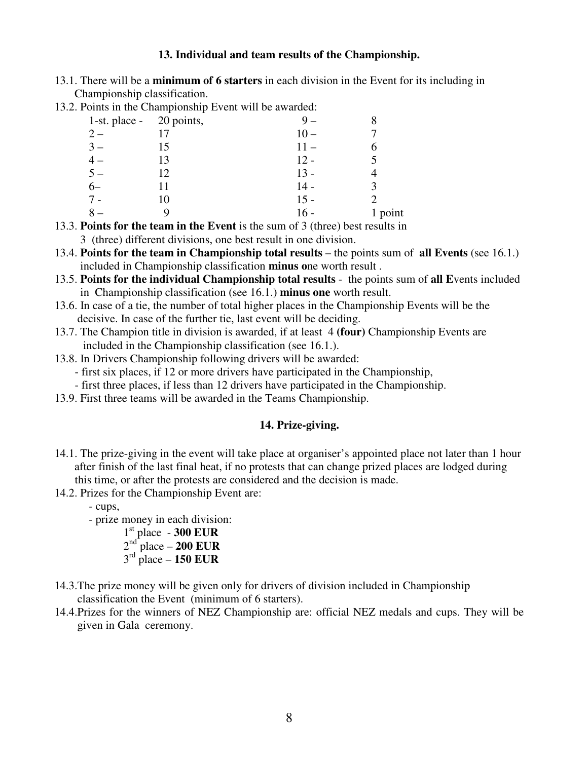### **13. Individual and team results of the Championship.**

13.1. There will be a **minimum of 6 starters** in each division in the Event for its including in Championship classification. 13.2. Points in the Championship Event will be awarded:

| 2. Points in the Championship Event will be awarded: |                            |    |        |      |
|------------------------------------------------------|----------------------------|----|--------|------|
|                                                      | 1-st. place - $20$ points, |    |        |      |
|                                                      | $2-$                       |    | $10 -$ |      |
|                                                      | $3-$                       | 15 | $11 -$ |      |
|                                                      | $4-$                       | 13 | $12 -$ |      |
|                                                      | $5-$                       | 12 | $13 -$ |      |
|                                                      | $6-$                       | 11 | $14 -$ |      |
|                                                      | $7 -$                      | 10 | $15 -$ |      |
|                                                      |                            |    | 16 -   | poin |
|                                                      |                            |    |        |      |

8 – 9 16 - 1 point 13.3. **Points for the team in the Event** is the sum of 3 (three) best results in

3 (three) different divisions, one best result in one division.

- 13.4. **Points for the team in Championship total results** the points sum of **all Events** (see 16.1.) included in Championship classification **minus o**ne worth result .
- 13.5. **Points for the individual Championship total results** the points sum of **all E**vents included in Championship classification (see 16.1.) **minus one** worth result.
- 13.6. In case of a tie, the number of total higher places in the Championship Events will be the decisive. In case of the further tie, last event will be deciding.
- 13.7. The Champion title in division is awarded, if at least 4 **(four)** Championship Events are included in the Championship classification (see 16.1.).
- 13.8. In Drivers Championship following drivers will be awarded:
	- first six places, if 12 or more drivers have participated in the Championship,
	- first three places, if less than 12 drivers have participated in the Championship.
- 13.9. First three teams will be awarded in the Teams Championship.

## **14. Prize-giving.**

- 14.1. The prize-giving in the event will take place at organiser's appointed place not later than 1 hour after finish of the last final heat, if no protests that can change prized places are lodged during this time, or after the protests are considered and the decision is made.
- 14.2. Prizes for the Championship Event are:

- cups,

- prize money in each division:

- 1 st place **300 EUR** 2 nd place – **200 EUR** 3 rd place – **150 EUR**
- 14.3.The prize money will be given only for drivers of division included in Championship classification the Event (minimum of 6 starters).
- 14.4.Prizes for the winners of NEZ Championship are: official NEZ medals and cups. They will be given in Gala ceremony.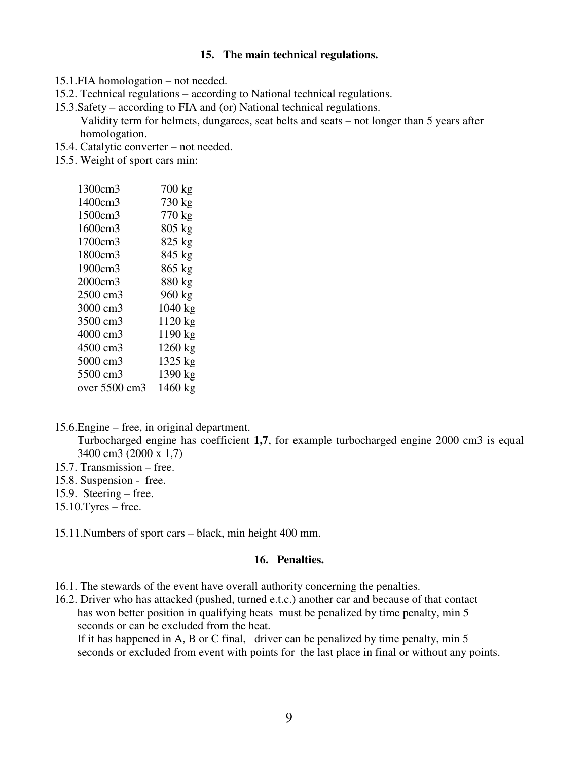#### **15. The main technical regulations.**

- 15.1.FIA homologation not needed.
- 15.2. Technical regulations according to National technical regulations.
- 15.3.Safety according to FIA and (or) National technical regulations. Validity term for helmets, dungarees, seat belts and seats – not longer than 5 years after homologation.
- 15.4. Catalytic converter not needed.
- 15.5. Weight of sport cars min:

| 1300cm3       | 700 kg  |
|---------------|---------|
| 1400cm3       | 730 kg  |
| 1500cm3       | 770 kg  |
| 1600cm3       | 805 kg  |
| 1700cm3       | 825 kg  |
| 1800cm3       | 845 kg  |
| 1900cm3       | 865 kg  |
| 2000cm3       | 880 kg  |
| 2500 cm3      | 960 kg  |
| 3000 cm3      | 1040 kg |
| 3500 cm3      | 1120 kg |
| 4000 cm3      | 1190 kg |
| 4500 cm3      | 1260 kg |
| 5000 cm3      | 1325 kg |
| 5500 cm3      | 1390 kg |
| over 5500 cm3 | 1460 kg |
|               |         |

15.6.Engine – free, in original department.

Turbocharged engine has coefficient **1,7**, for example turbocharged engine 2000 cm3 is equal 3400 cm3 (2000 x 1,7)

- 15.7. Transmission free.
- 15.8. Suspension free.
- 15.9. Steering free.
- 15.10.Tyres free.

15.11.Numbers of sport cars – black, min height 400 mm.

#### **16. Penalties.**

- 16.1. The stewards of the event have overall authority concerning the penalties.
- 16.2. Driver who has attacked (pushed, turned e.t.c.) another car and because of that contact has won better position in qualifying heats must be penalized by time penalty, min 5 seconds or can be excluded from the heat.

If it has happened in A, B or C final, driver can be penalized by time penalty, min 5 seconds or excluded from event with points for the last place in final or without any points.